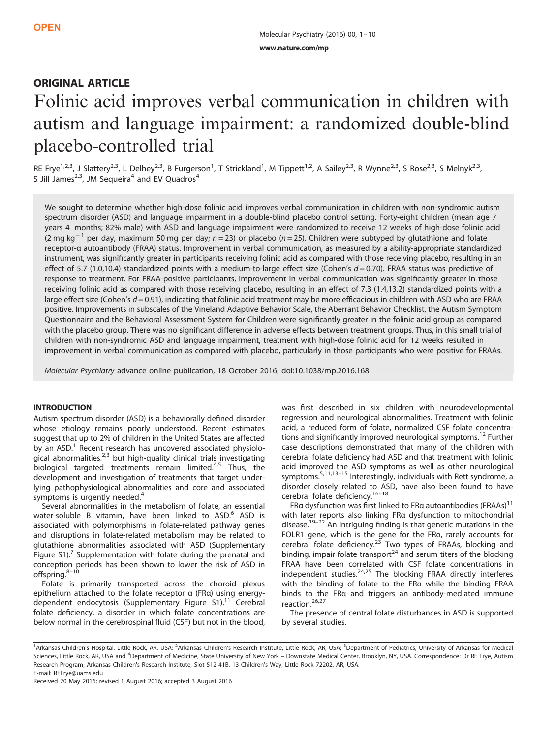[www.nature.com/mp](http://www.nature.com/mp)

## ORIGINAL ARTICLE

# Folinic acid improves verbal communication in children with autism and language impairment: a randomized double-blind placebo-controlled trial

RE Frye<sup>1,2,3</sup>, J Slattery<sup>2,3</sup>, L Delhey<sup>2,3</sup>, B Furgerson<sup>1</sup>, T Strickland<sup>1</sup>, M Tippett<sup>1,2</sup>, A Sailey<sup>2,3</sup>, R Wynne<sup>2,3</sup>, S Rose<sup>2,3</sup>, S Melnyk<sup>2,3</sup>, S Jill James<sup>2,3</sup>, JM Sequeira<sup>4</sup> and EV Quadros<sup>4</sup>

We sought to determine whether high-dose folinic acid improves verbal communication in children with non-syndromic autism spectrum disorder (ASD) and language impairment in a double-blind placebo control setting. Forty-eight children (mean age 7 years 4 months; 82% male) with ASD and language impairment were randomized to receive 12 weeks of high-dose folinic acid (2 mg kg<sup>-1</sup> per day, maximum 50 mg per day; n=23) or placebo (n=25). Children were subtyped by glutathione and folate receptor-α autoantibody (FRAA) status. Improvement in verbal communication, as measured by a ability-appropriate standardized instrument, was significantly greater in participants receiving folinic acid as compared with those receiving placebo, resulting in an effect of 5.7 (1.0,10.4) standardized points with a medium-to-large effect size (Cohen's  $d = 0.70$ ). FRAA status was predictive of response to treatment. For FRAA-positive participants, improvement in verbal communication was significantly greater in those receiving folinic acid as compared with those receiving placebo, resulting in an effect of 7.3 (1.4,13.2) standardized points with a large effect size (Cohen's  $d = 0.91$ ), indicating that folinic acid treatment may be more efficacious in children with ASD who are FRAA positive. Improvements in subscales of the Vineland Adaptive Behavior Scale, the Aberrant Behavior Checklist, the Autism Symptom Questionnaire and the Behavioral Assessment System for Children were significantly greater in the folinic acid group as compared with the placebo group. There was no significant difference in adverse effects between treatment groups. Thus, in this small trial of children with non-syndromic ASD and language impairment, treatment with high-dose folinic acid for 12 weeks resulted in improvement in verbal communication as compared with placebo, particularly in those participants who were positive for FRAAs.

Molecular Psychiatry advance online publication, 18 October 2016; doi[:10.1038/mp.2016.168](http://dx.doi.org/10.1038/mp.2016.168)

## **INTRODUCTION**

Autism spectrum disorder (ASD) is a behaviorally defined disorder whose etiology remains poorly understood. Recent estimates suggest that up to 2% of children in the United States are affected by an ASD.<sup>[1](#page-8-0)</sup> Recent research has uncovered associated physiological abnormalities, $23$  but high-quality clinical trials investigating biological targeted treatments remain limited.<sup>[4](#page-8-0),[5](#page-8-0)</sup> Thus, the development and investigation of treatments that target underlying pathophysiological abnormalities and core and associated symptoms is urgently needed.<sup>[4](#page-8-0)</sup>

Several abnormalities in the metabolism of folate, an essential water-soluble B vitamin, have been linked to ASD.<sup>[6](#page-8-0)</sup> ASD is associated with polymorphisms in folate-related pathway genes and disruptions in folate-related metabolism may be related to glutathione abnormalities associated with ASD (Supplementary Figure S1).<sup>[7](#page-8-0)</sup> Supplementation with folate during the prenatal and conception periods has been shown to lower the risk of ASD in offspring.<sup>8-[10](#page-8-0)</sup>

Folate is primarily transported across the choroid plexus epithelium attached to the folate receptor α (FRα) using energydependent endocytosis (Supplementary Figure S1).<sup>11</sup> Cerebral folate deficiency, a disorder in which folate concentrations are below normal in the cerebrospinal fluid (CSF) but not in the blood, was first described in six children with neurodevelopmental regression and neurological abnormalities. Treatment with folinic acid, a reduced form of folate, normalized CSF folate concentra-tions and significantly improved neurological symptoms.<sup>[12](#page-8-0)</sup> Further case descriptions demonstrated that many of the children with cerebral folate deficiency had ASD and that treatment with folinic acid improved the ASD symptoms as well as other neurological symptoms.<sup>[5,11](#page-8-0),13–[15](#page-8-0)</sup> Interestingly, individuals with Rett syndrome, a disorder closely related to ASD, have also been found to have cerebral folate deficiency.<sup>16-[18](#page-8-0)</sup>

FRα dysfunction was first linked to FRα autoantibodies (FRAAs)<sup>11</sup> with later reports also linking FRα dysfunction to mitochondrial disease.<sup>19–22</sup> An intriguing finding is that genetic mutations in the FOLR1 gene, which is the gene for the FRα, rarely accounts for cerebral folate deficiency.<sup>[23](#page-8-0)</sup> Two types of FRAAs, blocking and binding, impair folate transport<sup>[24](#page-8-0)</sup> and serum titers of the blocking FRAA have been correlated with CSF folate concentrations in independent studies. $24,25$  The blocking FRAA directly interferes with the binding of folate to the FRα while the binding FRAA binds to the FRα and triggers an antibody-mediated immune reaction.<sup>[26,27](#page-8-0)</sup>

The presence of central folate disturbances in ASD is supported by several studies.

<sup>&</sup>lt;sup>1</sup>Arkansas Children's Hospital, Little Rock, AR, USA; <sup>2</sup>Arkansas Children's Research Institute, Little Rock, AR, USA; <sup>3</sup>Department of Pediatrics, University of Arkansas for Medical Sciences, Little Rock, AR, USA and <sup>4</sup>Department of Medicine, State University of New York – Downstate Medical Center, Brooklyn, NY, USA. Correspondence: Dr RE Frye, Autism Research Program, Arkansas Children's Research Institute, Slot 512-41B, 13 Children's Way, Little Rock 72202, AR, USA. E-mail: [REFrye@uams.edu](mailto:REFrye@uams.edu)

Received 20 May 2016; revised 1 August 2016; accepted 3 August 2016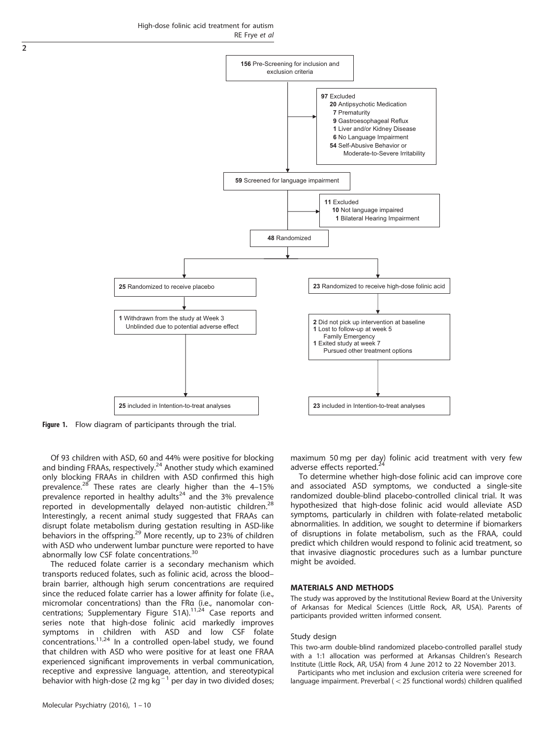

Figure 1. Flow diagram of participants through the trial.

Of 93 children with ASD, 60 and 44% were positive for blocking and binding FRAAs, respectively.[24](#page-8-0) Another study which examined only blocking FRAAs in children with ASD confirmed this high prevalence.<sup>[28](#page-8-0)</sup> These rates are clearly higher than the  $4-15\%$ prevalence reported in healthy adults<sup>[24](#page-8-0)</sup> and the 3% prevalence reported in developmentally delayed non-autistic children.<sup>[28](#page-8-0)</sup> Interestingly, a recent animal study suggested that FRAAs can disrupt folate metabolism during gestation resulting in ASD-like behaviors in the offspring.<sup>[29](#page-8-0)</sup> More recently, up to 23% of children with ASD who underwent lumbar puncture were reported to have abnormally low CSF folate concentrations.<sup>[30](#page-8-0)</sup>

The reduced folate carrier is a secondary mechanism which transports reduced folates, such as folinic acid, across the blood– brain barrier, although high serum concentrations are required since the reduced folate carrier has a lower affinity for folate (i.e., micromolar concentrations) than the FRα (i.e., nanomolar concentrations; Supplementary Figure S1A).[11,24](#page-8-0) Case reports and series note that high-dose folinic acid markedly improves symptoms in children with ASD and low CSF folate concentrations.<sup>[11,24](#page-8-0)</sup> In a controlled open-label study, we found that children with ASD who were positive for at least one FRAA experienced significant improvements in verbal communication, receptive and expressive language, attention, and stereotypical behavior with high-dose (2 mg kg<sup>-1</sup> per day in two divided doses; maximum 50 mg per day) folinic acid treatment with very few adverse effects reported.<sup>[24](#page-8-0)</sup>

To determine whether high-dose folinic acid can improve core and associated ASD symptoms, we conducted a single-site randomized double-blind placebo-controlled clinical trial. It was hypothesized that high-dose folinic acid would alleviate ASD symptoms, particularly in children with folate-related metabolic abnormalities. In addition, we sought to determine if biomarkers of disruptions in folate metabolism, such as the FRAA, could predict which children would respond to folinic acid treatment, so that invasive diagnostic procedures such as a lumbar puncture might be avoided.

#### MATERIALS AND METHODS

The study was approved by the Institutional Review Board at the University of Arkansas for Medical Sciences (Little Rock, AR, USA). Parents of participants provided written informed consent.

#### Study design

This two-arm double-blind randomized placebo-controlled parallel study with a 1:1 allocation was performed at Arkansas Children's Research Institute (Little Rock, AR, USA) from 4 June 2012 to 22 November 2013.

Participants who met inclusion and exclusion criteria were screened for language impairment. Preverbal ( $<$  25 functional words) children qualified

<span id="page-1-0"></span>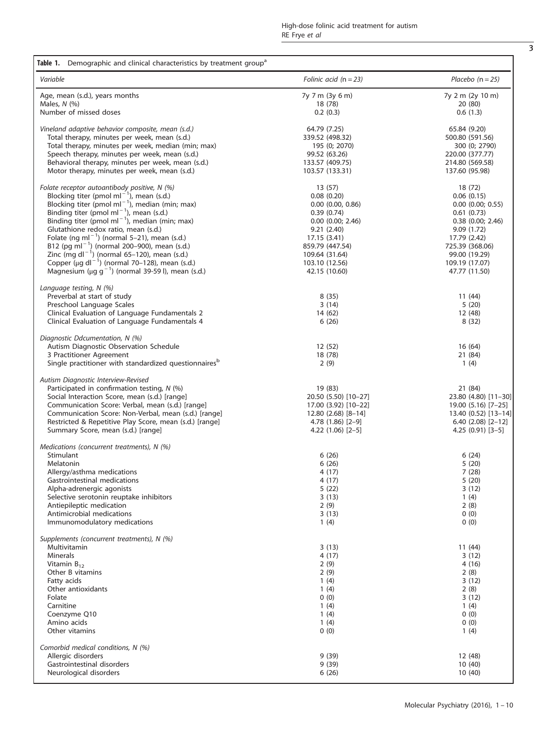<span id="page-2-0"></span>

| Table 1. Demographic and clinical characteristics by treatment group <sup>a</sup>                   |                                     |                                   |
|-----------------------------------------------------------------------------------------------------|-------------------------------------|-----------------------------------|
| Variable                                                                                            | Folinic acid $(n = 23)$             | Placebo $(n = 25)$                |
| Age, mean (s.d.), years months                                                                      | 7y 7 m (3y 6 m)                     | 7y 2 m (2y 10 m)                  |
| Males, $N$ (%)<br>Number of missed doses                                                            | 18 (78)<br>0.2(0.3)                 | 20 (80)<br>0.6(1.3)               |
|                                                                                                     |                                     |                                   |
| Vineland adaptive behavior composite, mean (s.d.)                                                   | 64.79 (7.25)                        | 65.84 (9.20)                      |
| Total therapy, minutes per week, mean (s.d.)                                                        | 339.52 (498.32)                     | 500.80 (591.56)                   |
| Total therapy, minutes per week, median (min; max)<br>Speech therapy, minutes per week, mean (s.d.) | 195 (0; 2070)<br>99.52 (63.26)      | 300 (0; 2790)<br>220.00 (377.77)  |
| Behavioral therapy, minutes per week, mean (s.d.)                                                   | 133.57 (409.75)                     | 214.80 (569.58)                   |
| Motor therapy, minutes per week, mean (s.d.)                                                        | 103.57 (133.31)                     | 137.60 (95.98)                    |
| Folate receptor autoantibody positive, N (%)                                                        | 13(57)                              | 18 (72)                           |
| Blocking titer (pmol ml <sup>-1</sup> ), mean (s.d.)                                                | 0.08(0.20)                          | 0.06(0.15)                        |
| Blocking titer (pmol ml <sup>-1</sup> ), median (min; max)                                          | $0.00$ $(0.00, 0.86)$               | $0.00$ $(0.00; 0.55)$             |
| Binding titer (pmol ml <sup>-1</sup> ), mean (s.d.)                                                 | 0.39(0.74)                          | 0.61(0.73)                        |
| Binding titer (pmol ml <sup>-1</sup> ), median (min; max)<br>Glutathione redox ratio, mean (s.d.)   | $0.00$ $(0.00; 2.46)$<br>9.21(2.40) | $0.38$ (0.00; 2.46)<br>9.09(1.72) |
| Folate (ng ml <sup>-1</sup> ) (normal 5-21), mean (s.d.)                                            | 17.15 (3.41)                        | 17.79 (2.42)                      |
| B12 (pg ml <sup>-1</sup> ) (normal 200-900), mean (s.d.)                                            | 859.79 (447.54)                     | 725.39 (368.06)                   |
| Zinc (mg dl <sup>-1</sup> ) (normal 65-120), mean (s.d.)                                            | 109.64 (31.64)                      | 99.00 (19.29)                     |
| Copper ( $\mu$ g dl <sup>-1</sup> ) (normal 70-128), mean (s.d.)                                    | 103.10 (12.56)                      | 109.19 (17.07)                    |
| Magnesium ( $\mu$ g g <sup>-1</sup> ) (normal 39-59 l), mean (s.d.)                                 | 42.15 (10.60)                       | 47.77 (11.50)                     |
| Language testing, $N$ (%)                                                                           |                                     |                                   |
| Preverbal at start of study<br>Preschool Language Scales                                            | 8(35)<br>3(14)                      | 11 (44)<br>5(20)                  |
| Clinical Evaluation of Language Fundamentals 2                                                      | 14 (62)                             | 12 (48)                           |
| Clinical Evaluation of Language Fundamentals 4                                                      | 6(26)                               | 8(32)                             |
| Diagnostic Ddcumentation, N (%)                                                                     |                                     |                                   |
| Autism Diagnostic Observation Schedule                                                              | 12(52)                              | 16(64)                            |
| 3 Practitioner Agreement                                                                            | 18 (78)                             | 21 (84)                           |
| Single practitioner with standardized questionnaires <sup>b</sup>                                   | 2(9)                                | 1(4)                              |
| Autism Diagnostic Interview-Revised                                                                 |                                     |                                   |
| Participated in confirmation testing, N (%)<br>Social Interaction Score, mean (s.d.) [range]        | 19 (83)<br>20.50 (5.50) [10-27]     | 21 (84)<br>23.80 (4.80) [11-30]   |
| Communication Score: Verbal, mean (s.d.) [range]                                                    | 17.00 (3.92) [10-22]                | 19.00 (5.16) [7-25]               |
| Communication Score: Non-Verbal, mean (s.d.) [range]                                                | $12.80(2.68)[8-14]$                 | 13.40 (0.52) [13-14]              |
| Restricted & Repetitive Play Score, mean (s.d.) [range]                                             | 4.78 (1.86) [2-9]                   | $6.40(2.08)[2-12]$                |
| Summary Score, mean (s.d.) [range]                                                                  | $4.22(1.06)[2-5]$                   | $4.25(0.91)[3-5]$                 |
| Medications (concurrent treatments), N (%)                                                          |                                     |                                   |
| Stimulant<br>Melatonin                                                                              | 6(26)<br>6(26)                      | 6(24)<br>5(20)                    |
| Allergy/asthma medications                                                                          | 4(17)                               | 7(28)                             |
| Gastrointestinal medications                                                                        | 4 (17)                              | 5(20)                             |
| Alpha-adrenergic agonists                                                                           | 5(22)                               | 3(12)                             |
| Selective serotonin reuptake inhibitors                                                             | 3(13)                               | 1(4)                              |
| Antiepileptic medication<br>Antimicrobial medications                                               | 2(9)<br>3(13)                       | 2(8)<br>0(0)                      |
| Immunomodulatory medications                                                                        | 1(4)                                | 0(0)                              |
| Supplements (concurrent treatments), N (%)                                                          |                                     |                                   |
| Multivitamin                                                                                        | 3(13)                               | 11 (44)                           |
| Minerals                                                                                            | 4(17)                               | 3(12)                             |
| Vitamin $B_{12}$                                                                                    | 2(9)                                | 4 (16)                            |
| Other B vitamins<br>Fatty acids                                                                     | 2(9)<br>1(4)                        | 2(8)<br>3(12)                     |
| Other antioxidants                                                                                  | 1(4)                                | 2(8)                              |
| Folate                                                                                              | 0(0)                                | 3(12)                             |
| Carnitine                                                                                           | 1(4)                                | 1(4)                              |
| Coenzyme Q10                                                                                        | 1(4)                                | 0(0)                              |
| Amino acids<br>Other vitamins                                                                       | 1(4)<br>0(0)                        | 0(0)<br>1(4)                      |
| Comorbid medical conditions, N (%)                                                                  |                                     |                                   |
| Allergic disorders                                                                                  | 9(39)                               | 12 (48)                           |
| Gastrointestinal disorders                                                                          | 9(39)                               | 10(40)                            |
| Neurological disorders                                                                              | 6(26)                               | 10(40)                            |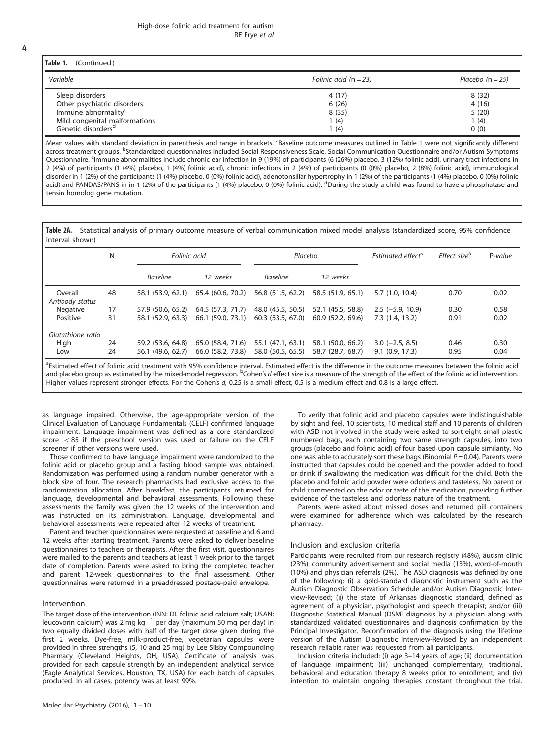<span id="page-3-0"></span>

|  | ٠ |
|--|---|
|  |   |
|  |   |

| Table 1. (Continued)            |                         |                    |
|---------------------------------|-------------------------|--------------------|
| Variable                        | Folinic acid $(n = 23)$ | Placebo $(n = 25)$ |
| Sleep disorders                 | 4(17)                   | 8(32)              |
| Other psychiatric disorders     | 6(26)                   | 4(16)              |
| Immune abnormality <sup>c</sup> | 8(35)                   | 5(20)              |
| Mild congenital malformations   | 1 (4)                   | 1(4)               |
| Genetic disorders <sup>d</sup>  | 1 (4)                   | 0(0)               |

Mean values with standard deviation in parenthesis and range in brackets. <sup>a</sup>Baseline outcome measures outlined in [Table 1](#page-2-0) were not significantly different across treatment groups. <sup>b</sup>Standardized questionnaires included Social Responsiveness Scale, Social Communication Questionnaire and/or Autism Symptoms Questionnaire. <sup>c</sup>Immune abnormalities include chronic ear infection in 9 (19%) of participants (6 (26%) placebo, 3 (12%) folinic acid), urinary tract infections in 2 (4%) of participants (1 (4%) placebo, 1 (4%) folinic acid), chronic infections in 2 (4%) of participants (0 (0%) placebo, 2 (8%) folinic acid), immunological disorder in 1 (2%) of the participants (1 (4%) placebo, 0 (0%) folinic acid), adenotonsillar hypertrophy in 1 (2%) of the participants (1 (4%) placebo, 0 (0%) folinic acid) and PANDAS/PANS in in 1 (2%) of the participants (1 (4%) placebo, 0 (0%) folinic acid). <sup>d</sup>During the study a child was found to have a phosphatase and tensin homolog gene mutation.

Table 2A. Statistical analysis of primary outcome measure of verbal communication mixed model analysis (standardized score, 95% confidence interval shown)

|                            | N  | Folinic acid      |                   | Placebo           |                   | Estimated effect <sup>a</sup> | Effect size <sup>b</sup> | P-value |
|----------------------------|----|-------------------|-------------------|-------------------|-------------------|-------------------------------|--------------------------|---------|
|                            |    | <b>Baseline</b>   | 12 weeks          | <b>Baseline</b>   | 12 weeks          |                               |                          |         |
| Overall<br>Antibody status | 48 | 58.1 (53.9, 62.1) | 65.4 (60.6, 70.2) | 56.8 (51.5, 62.2) | 58.5 (51.9, 65.1) | 5.7(1.0, 10.4)                | 0.70                     | 0.02    |
| Negative                   | 17 | 57.9 (50.6, 65.2) | 64.5 (57.3, 71.7) | 48.0 (45.5, 50.5) | 52.1 (45.5, 58.8) | $2.5(-5.9, 10.9)$             | 0.30                     | 0.58    |
| Positive                   | 31 | 58.1 (52.9, 63.3) | 66.1 (59.0, 73.1) | 60.3 (53.5, 67.0) | 60.9 (52.2, 69.6) | 7.3(1.4, 13.2)                | 0.91                     | 0.02    |
| Glutathione ratio          |    |                   |                   |                   |                   |                               |                          |         |
| High                       | 24 | 59.2 (53.6, 64.8) | 65.0 (58.4, 71.6) | 55.1 (47.1, 63.1) | 58.1 (50.0, 66.2) | $3.0$ (-2.5, 8.5)             | 0.46                     | 0.30    |
| Low                        | 24 | 56.1 (49.6, 62.7) | 66.0 (58.2, 73.8) | 58.0 (50.5, 65.5) | 58.7 (28.7, 68.7) | 9.1(0.9, 17.3)                | 0.95                     | 0.04    |

<sup>a</sup>Estimated effect of folinic acid treatment with 95% confidence interval. Estimated effect is the difference in the outcome measures between the folinic acid and placebo group as estimated by the mixed-model regression. <sup>b</sup>Cohen's d effect size is a measure of the strength of the effect of the folinic acid intervention. Higher values represent stronger effects. For the Cohen's d, 0.25 is a small effect, 0.5 is a medium effect and 0.8 is a large effect.

as language impaired. Otherwise, the age-appropriate version of the Clinical Evaluation of Language Fundamentals (CELF) confirmed language impairment. Language impairment was defined as a core standardized score  $<$  85 if the preschool version was used or failure on the CELF screener if other versions were used.

Those confirmed to have language impairment were randomized to the folinic acid or placebo group and a fasting blood sample was obtained. Randomization was performed using a random number generator with a block size of four. The research pharmacists had exclusive access to the randomization allocation. After breakfast, the participants returned for language, developmental and behavioral assessments. Following these assessments the family was given the 12 weeks of the intervention and was instructed on its administration. Language, developmental and behavioral assessments were repeated after 12 weeks of treatment.

Parent and teacher questionnaires were requested at baseline and 6 and 12 weeks after starting treatment. Parents were asked to deliver baseline questionnaires to teachers or therapists. After the first visit, questionnaires were mailed to the parents and teachers at least 1 week prior to the target date of completion. Parents were asked to bring the completed teacher and parent 12-week questionnaires to the final assessment. Other questionnaires were returned in a preaddressed postage-paid envelope.

#### Intervention

The target dose of the intervention (INN: DL folinic acid calcium salt; USAN: leucovorin calcium) was 2 mg kg<sup>-1</sup> per day (maximum 50 mg per day) in two equally divided doses with half of the target dose given during the first 2 weeks. Dye-free, milk-product-free, vegetarian capsules were provided in three strengths (5, 10 and 25 mg) by Lee Silsby Compounding Pharmacy (Cleveland Heights, OH, USA). Certificate of analysis was provided for each capsule strength by an independent analytical service (Eagle Analytical Services, Houston, TX, USA) for each batch of capsules produced. In all cases, potency was at least 99%.

Molecular Psychiatry (2016), 1 – 10

To verify that folinic acid and placebo capsules were indistinguishable by sight and feel, 10 scientists, 10 medical staff and 10 parents of children with ASD not involved in the study were asked to sort eight small plastic numbered bags, each containing two same strength capsules, into two groups (placebo and folinic acid) of four based upon capsule similarity. No one was able to accurately sort these bags (Binomial  $P = 0.04$ ). Parents were instructed that capsules could be opened and the powder added to food or drink if swallowing the medication was difficult for the child. Both the placebo and folinic acid powder were odorless and tasteless. No parent or child commented on the odor or taste of the medication, providing further evidence of the tasteless and odorless nature of the treatment.

Parents were asked about missed doses and returned pill containers were examined for adherence which was calculated by the research pharmacy.

#### Inclusion and exclusion criteria

Participants were recruited from our research registry (48%), autism clinic (23%), community advertisement and social media (13%), word-of-mouth (10%) and physician referrals (2%). The ASD diagnosis was defined by one of the following: (i) a gold-standard diagnostic instrument such as the Autism Diagnostic Observation Schedule and/or Autism Diagnostic Interview-Revised; (ii) the state of Arkansas diagnostic standard, defined as agreement of a physician, psychologist and speech therapist; and/or (iii) Diagnostic Statistical Manual (DSM) diagnosis by a physician along with standardized validated questionnaires and diagnosis confirmation by the Principal Investigator. Reconfirmation of the diagnosis using the lifetime version of the Autism Diagnostic Interview-Revised by an independent research reliable rater was requested from all participants.

Inclusion criteria included: (i) age 3–14 years of age; (ii) documentation of language impairment; (iii) unchanged complementary, traditional, behavioral and education therapy 8 weeks prior to enrollment; and (iv) intention to maintain ongoing therapies constant throughout the trial.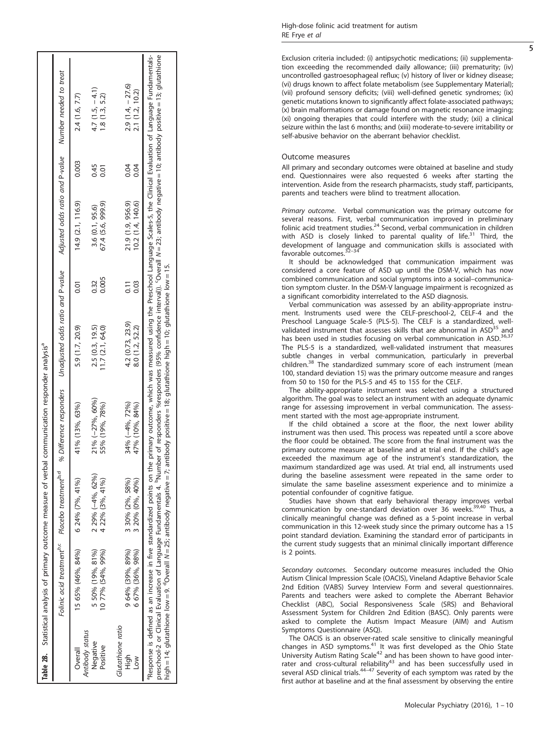<span id="page-4-0"></span>

|                                                      |                                                                        |                                     | Table 2B. Statistical analysis of primary outcome measure of verbal communication responder analysis <sup>4</sup>                            |                                     |                           |                                        |              |                                                                                                                                                                                                                                                                                                                                                          |  |
|------------------------------------------------------|------------------------------------------------------------------------|-------------------------------------|----------------------------------------------------------------------------------------------------------------------------------------------|-------------------------------------|---------------------------|----------------------------------------|--------------|----------------------------------------------------------------------------------------------------------------------------------------------------------------------------------------------------------------------------------------------------------------------------------------------------------------------------------------------------------|--|
|                                                      | Folinic acid treatment <sup>p,c</sup> Placebo treatment <sup>b,d</sup> |                                     | % Difference responders Unadjusted odds ratio and P-value                                                                                    |                                     |                           | Adjusted odds ratio and P-value        |              | Number needed to treat                                                                                                                                                                                                                                                                                                                                   |  |
| Overall                                              | 15 65% (46%, 84%)                                                      | 6 24% (7%, 41%)                     | 41% (13%, 63%)                                                                                                                               | 5.9 (1.7, 20.9)                     | 0.01                      | 14.9(2.1, 116.9)                       | 0.003        | 2.4 (1.6, 7.7)                                                                                                                                                                                                                                                                                                                                           |  |
| Antibody status<br>Negative<br>Positive              | 5 50% (19%, 81%)<br>10 77% (54%, 99%)                                  | 2 29% (-4%, 62%)<br>4 22% (3%, 41%) | 21% (-27%, 60%)<br>55% (19%, 78%)                                                                                                            | 2.5(0.3, 19.5)<br>11.7(2.1, 64.0)   | 0.005<br>0.32             | 67.4 (5.6, 999.9)<br>3.6 (0.1, 95.6)   | 0.45<br>0.01 | $4.7(1.5, -4.1)$<br>1.8(1.3, 5.2)                                                                                                                                                                                                                                                                                                                        |  |
| Glutathione ratio<br>High<br>$\overline{\mathsf{S}}$ | 9 64% (39%, 89%)<br>6 67% (36%, 98%)                                   | 3 30% (2%, 58%)<br>3 20% (0%, 40%)  | 34% (-4%, 72%)<br>47% (10%, 84%)                                                                                                             | 4.2 (0.73, 23.9)<br>8.0 (1.2, 52.2) | 0.03<br>$\overline{0.11}$ | 21.9 (1.9, 956.9)<br>10.2 (1.4, 140.6) | 0.04<br>0.04 | $2.9(1.4, -27.6)$<br>2.1 (1.2, 10.2)                                                                                                                                                                                                                                                                                                                     |  |
|                                                      | "Response is defined as an increase in five standardized points on th  |                                     | high = 14; glutathione low = 9. "Overall N = 25; antibody negative = 7; antibody positive = 18; glutathione high = 10; glutathione low = 15. |                                     |                           |                                        |              | he primary outcome, which was measured using the Preschool Language Scales-5, the Clinical Evaluation of Language Fundamentals-<br>preschool-2 or Clinical Evaluation of Language Fundamentals 4. <sup>P</sup> Number of responders %responders (95% confidence interval)). 'Overall N = 23; antibody negative = 10; antibody positive = 13; glutathione |  |

Exclusion criteria included: (i) antipsychotic medications; (ii) supplementation exceeding the recommended daily allowance; (iii) prematurity; (iv) uncontrolled gastroesophageal re flux; (v) history of liver or kidney disease; (vi) drugs known to affect folate metabolism (see Supplementary Material); (vii) profound sensory de ficits; (viii) well-de fined genetic syndromes; (ix) genetic mutations known to signi ficantly affect folate-associated pathways; (x) brain malformations or damage found on magnetic resonance imaging; (xi) ongoing therapies that could interfere with the study; (xii) a clinical seizure within the last 6 months; and (xiii) moderate-to-severe irritability or self-abusive behavior on the aberrant behavior checklist.

## Outcome measures

All primary and secondary outcomes were obtained at baseline and study end. Questionnaires were also requested 6 weeks after starting the intervention. Aside from the research pharmacists, study staff, participants, parents and teachers were blind to treatment allocation.

Primary outcome. Verbal communication was the primary outcome for several reasons. First, verbal communication improved in preliminary folinic acid treatment studies.<sup>24</sup> Second, verbal communication in children with ASD is closely linked to parental quality of  $l$ ife.<sup>31</sup> Third, the development of language and communication skills is associated with<br>favorable outcomes.<sup>[32](#page-8-0)–34</sup>

It should be acknowledged that communication impairment was considered a core feature of ASD up until the DSM-V, which has now combined communication and social symptoms into a social –communication symptom cluster. In the DSM-V language impairment is recognized as a signi ficant comorbidity interrelated to the ASD diagnosis.

Verbal communication was assessed by an ability-appropriate instrument. Instruments used were the CELF-preschool-2, CELF-4 and the Preschool Language Scale-5 (PLS-5). The CELF is a standardized, well-validated instrument that assesses skills that are abnormal in ASD<sup>[35](#page-9-0)</sup> and has been used in studies focusing on verbal communication in ASD.<sup>[36,37](#page-9-0)</sup> The PLS-5 is a standardized, well-validated instrument that measures subtle changes in verbal communication, particularly in preverbal children.<sup>38</sup> The standardized summary score of each instrument (mean 100, standard deviation 15) was the primary outcome measure and ranges from 50 to 150 for the PLS-5 and 45 to 155 for the CELF.

The ability-appropriate instrument was selected using a structured algorithm. The goal was to select an instrument with an adequate dynamic range for assessing improvement in verbal communication. The assessment started with the most age-appropriate instrument.

If the child obtained a score at the floor, the next lower ability instrument was then used. This process was repeated until a score above the floor could be obtained. The score from the final instrument was the primary outcome measure at baseline and at trial end. If the child 's age exceeded the maximum age of the instrument 's standardization, the maximum standardized age was used. At trial end, all instruments used during the baseline assessment were repeated in the same order to simulate the same baseline assessment experience and to minimize a potential confounder of cognitive fatigue.

Studies have shown that early behavioral therapy improves verbal communication by one-standard deviation over 36 weeks.<sup>39,40</sup> Thus, a clinically meaningful change was de fined as a 5-point increase in verbal communication in this 12-week study since the primary outcome has a 15 point standard deviation. Examining the standard error of participants in the current study suggests that an minimal clinically important difference is 2 points.

Secondary outcomes. Secondary outcome measures included the Ohio Autism Clinical Impression Scale (OACIS), Vineland Adaptive Behavior Scale 2nd Edition (VABS) Survey Interview Form and several questionnaires. Parents and teachers were asked to complete the Aberrant Behavior Checklist (ABC), Social Responsiveness Scale (SRS) and Behavioral Assessment System for Children 2nd Edition (BASC). Only parents were asked to complete the Autism Impact Measure (AIM) and Autism Symptoms Questionnaire (ASQ).

The OACIS is an observer-rated scale sensitive to clinically meaningful changes in ASD symptoms.<sup>[41](#page-9-0)</sup> It was first developed as the Ohio State University Autism Rating Scale<sup>[42](#page-9-0)</sup> and has been shown to have good inter-rater and cross-cultural reliability<sup>[43](#page-9-0)</sup> and has been successfully used in several ASD clinical trials.<sup>44-47</sup> Severity of each symptom was rated by the first author at baseline and at the final assessment by observing the entire

5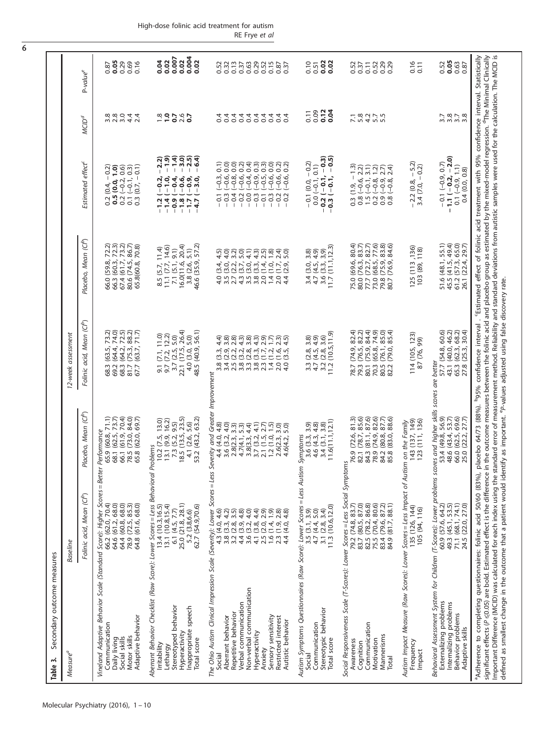| Measure <sup>a</sup>                                                                                                                                                                                                                                                                                                                                                                                                                                                                                                                                                                                                                                                                            | Baseline                                                                                                                                                                                                                                  |                                                                                                                                                                                                            | 12-week assessment                                                                                                                                                                                                                                                                                                                                                                                                                                                                   |                                                                                                                                                   |                                                                                                                                                                                                                                                                                                     |                                        |                                             |
|-------------------------------------------------------------------------------------------------------------------------------------------------------------------------------------------------------------------------------------------------------------------------------------------------------------------------------------------------------------------------------------------------------------------------------------------------------------------------------------------------------------------------------------------------------------------------------------------------------------------------------------------------------------------------------------------------|-------------------------------------------------------------------------------------------------------------------------------------------------------------------------------------------------------------------------------------------|------------------------------------------------------------------------------------------------------------------------------------------------------------------------------------------------------------|--------------------------------------------------------------------------------------------------------------------------------------------------------------------------------------------------------------------------------------------------------------------------------------------------------------------------------------------------------------------------------------------------------------------------------------------------------------------------------------|---------------------------------------------------------------------------------------------------------------------------------------------------|-----------------------------------------------------------------------------------------------------------------------------------------------------------------------------------------------------------------------------------------------------------------------------------------------------|----------------------------------------|---------------------------------------------|
|                                                                                                                                                                                                                                                                                                                                                                                                                                                                                                                                                                                                                                                                                                 | Folinic acid, Mean (Cl <sup>b</sup> )                                                                                                                                                                                                     | Placebo, Mean (Clb)                                                                                                                                                                                        | Folinic acid, Mean (Cl <sup>b</sup> )                                                                                                                                                                                                                                                                                                                                                                                                                                                | Placebo, Mean (Cl <sup>b</sup> )                                                                                                                  | Estimated effect <sup>c</sup>                                                                                                                                                                                                                                                                       | <b>MCID<sup>d</sup></b>                | P-value <sup>e</sup>                        |
| Vineland Adaptive Behavior Scale (Standard Score): Higher Scores = Better<br>Adaptive behavior<br>Communication<br>Motor skills<br>Social skills<br>Daily living                                                                                                                                                                                                                                                                                                                                                                                                                                                                                                                                | 64.4 (60.8, 68.0)<br>64.6 (61.2, 68.0)<br>78.9 (72.5, 85.3)<br>64.8 (61.6, 68.0)<br>66.2 (62.0, 70.4)                                                                                                                                     | 65.9 (60.8, 71.1)<br>68.1 (62.5, 73.7)<br>66.1 (61.9, 70.4)<br>78.5 (73.0, 84.0)<br>65.8 (62.0, 69.7)<br>Performance                                                                                       | 72.5)<br>88.2)<br>71.7)<br>73.2)<br>74.0)<br>$(64.3, 7)$<br>$(65.7, 63)$<br>(63.4,<br>(64.4,<br>68.3<br>81.7<br>67.7<br>68.3                                                                                                                                                                                                                                                                                                                                                         | $73.2$ )<br>86.7)<br>72.3)<br>72.3)<br>70.8)<br>80.6 (74.5,<br>66.0 (59.8, 59.8)<br>66.3 (60.3, 50.8)<br>67.4 (61.7, 50.7)<br>65.8(60.8,          | 0.2 (0.4, $-$ 0.2)<br>0.5 (0.0, 1.0)<br>0.2 ( $-$ 0.2, 0.6)<br>0.1 $(-0.1, 0.3)$<br>0.3 $(0.7, -0.1)$                                                                                                                                                                                               | s a a d 4 4<br>8 8 9 4 4               | $0.87$<br>$0.05$<br>0.29<br>0.69            |
| Aberrant Behavior Checklist (Raw Score): Lower Scores = Less Behavioral Pl<br>Stereotyped behavior<br>Inappropriate speech<br>Hyperactivity<br>Total score<br>Irritability<br>Lethargy                                                                                                                                                                                                                                                                                                                                                                                                                                                                                                          | 25.0 (21.8, 28.1)<br>13.1(10.8, 15.4)<br>62.7 (54.9,70.6)<br>13.4 (10.3, 16.5)<br>6.1 $(4.5, 7.7)$<br>5.2 (3.8,6.6)                                                                                                                       | 13.1 (9.9, 16.2)<br>7.3 (5.2, 9.5)<br>18.5 (13.5, 23.5)<br>53.2 (43.2, 63.2)<br>13.0)<br>4.1 (2.6, 5.6)<br>10.2(7.5,<br><b>coblems</b>                                                                     | 3.7 (2.5, 5.0)<br>22.1 (17.5, 26.4)<br>4.0 (3.0, 5.0)<br>48.5 (40.9, 56.1)<br>$9.1(7.1, 11.0)$<br>$9.7(7.2, 12.2)$                                                                                                                                                                                                                                                                                                                                                                   | 7.1 (5.1, 9.1)<br>16.0(11.6, 20.4)<br>46.6 (35.9, 57.2)<br>8.5 (5.7, 11.4)<br>11.1 (7.7, 14.6)<br>3.8(2.6, 5.1)                                   | $-0.000$<br>$-0.000$<br>$-1.9$<br>2.2)<br>$\mathbf{I}$                                                                                                                                                                                                                                              | $\frac{8}{10}$ 2 5 6 7<br>$-200$ 7 6 7 | 0.004<br>0.007<br>0.02<br>0.02<br>0.02      |
| The Ohio Autism Clinical Impression Scale (Severity): Lower Scores = Less Severity and Greater Improvement<br>Non-verbal communication<br>Verbal communication<br>Repetitive behavior<br>Sensory sensitivity<br>Restricted interest<br>Aberrant behavior<br>Autistic behavior<br>Hyperactivity<br>Anxiety<br>Social                                                                                                                                                                                                                                                                                                                                                                             | 4.3 (4.0, 4.6)<br>3.5)<br>$\begin{array}{c} 4.4 \ (3.9, 4.8) \\ 3.6 \ (3.2, 4.0) \\ 4.1 \ (3.8, 4.4) \\ 2.5 \ (2.0, 2.9) \end{array}$<br>(6.1)<br>$\frac{2.8}{4.8}$<br>4.2)<br>2.3(1.9)<br>3.2 (2.8,<br>1.6(1.4,<br>3.8(3.3)<br>4.4 (4.0, | 4.8<br>$4.7(4.1, 5.3)$<br>$3.8(3.3, 4.4)$<br>$3.7(3.2, 4.1)$<br>$2.1(1.5, 2.7)$<br>$1.2(1.0, 1.5)$<br>4.0<br>$\begin{array}{c} 3,3 \ 5,3 \end{array}$<br>$3.0$<br>5.0)<br>2.8(2.3)<br>2.6(2.3,<br>4.6(4.2, | 3.8)<br>₹<br>らいこうるうについる。<br>こうこうるうについう<br>$\begin{array}{c}\n\text{or } \text{d} & \text{d} & \text{d} & \text{d} \\ \text{or } \text{d} & \text{d} & \text{d} & \text{d} & \text{d} \\ \text{or } \text{d} & \text{d} & \text{d} & \text{d} & \text{d} \\ \text{or } \text{d} & \text{d} & \text{d} & \text{d} & \text{d} & \text{d} \\ \text{or } \text{d} & \text{d} & \text{d} & \text{d} & \text{d} & \text{d} \\ \text{or } \text{d} & \text{d} & \text{d} & \text{d} & \text$ | wadunu<br>Undunu<br>$2.4$ )<br>5.0)<br>$4.5$<br>$4.0$<br>559<br>1579<br>ついのうかい<br>ついのうか<br>(3.0, 4)<br>d w v 4 w w v – v 4<br>d w v 4 w w v – v 4 | <b>SSSSS</b><br>0.2)<br>0.3<br>0.5<br>$\widehat{0}.1)$<br>0.0)<br>$(-0.6,$<br>$(-0.6,$<br>$-0.95$<br>$-0.05$<br>$(-0.6,$<br>$(-0.6,$<br>$(-0.3)$<br>$(-0.8)$<br>$-0.0$<br>$-0.3$<br>$-0.1$<br>$0.\overline{3}$<br>$-0.2$<br>$0.\overline{3}$<br>0.4<br>0.2<br>0.2<br>$\overline{0}$<br>$\mathbf{I}$ | <b>44444444</b><br>0000000<br>0 Q<br>4 | 0.52<br>0.32                                |
| Autism Symptoms Questionnaires (Raw Score): Lower Scores = Less Autism<br>Stereotypic behavior<br>Communication<br>Total score<br>Social                                                                                                                                                                                                                                                                                                                                                                                                                                                                                                                                                        | 11.3 (10.6,12.0)<br>$3.5 (3.1, 3.9)$<br>$4.7 (4.4, 5.0)$<br>$3.1 (2.8, 3.4)$                                                                                                                                                              | 11.6(11.1, 12.1)<br>3.4(3.1, 3.8)<br>3.9<br>4.6(4.3, 4.8)<br>3.6 (3.3,<br>Symptoms                                                                                                                         | (10.5, 11.9)<br>3.3 $(2.8, 3.8)$<br>4.7 $(4.5, 4.9)$<br>3.2 $(2.8, 3.6)$<br>11.2 $(10.5, 11.9)$                                                                                                                                                                                                                                                                                                                                                                                      | (11.1, 12.3)<br>3,9)<br>3.8)<br>4.9)<br>$0.40$<br>$0.40$<br>$0.40$<br>$11.7$<br>$4.76$<br>$6.76$<br>$6.76$<br>$6.76$<br>$6.76$                    | $\begin{array}{c} 0.0 \ (-0.1, 0.1) \\ -0.2 \ (-0.1, -0.3) \\ -0.3 \ (-0.1, -0.5) \end{array}$<br>$-0.1(0.0, -0.2)$                                                                                                                                                                                 | 0.12<br>0.04<br>0.09<br>0.11           | 0.02<br>0.02<br>0.10<br>0.51                |
| Social Responsiveness Scale (T-Scores): Lower Scores = Less Social Symptom<br>Communication<br>Mannerisms<br>Motivation<br>Awareness<br>Cognition<br>Total                                                                                                                                                                                                                                                                                                                                                                                                                                                                                                                                      | 82.5 (78.2, 86.8)<br>75.5 (70.4, 80.6)<br>83.7 (80.5, 87.0)<br>83.4 (79.6, 87.2)<br>84.9 (81.7, 88.1)<br>79.2 (74.8, 83.7)                                                                                                                | 87.6)<br>82.6)<br>87.7)<br>85.6)<br>88.6)<br>$\overline{81.3}$<br>(83.0,<br>76.9 (72.6, 8<br>82.1 (78.7, 8<br>84.3 (81.1, 8<br>78.9 (74.9, 8<br>84.2 (80.8, 8<br>85.8<br>5                                 | $\begin{array}{c} 4 \\ 2 \\ 3 \\ 4 \\ 3 \\ 4 \\ 5 \\ 6 \\ \end{array}$<br>74.95<br>74.95<br>85.97<br>0, 1, 0, 0,<br>0, 1, 0, 0,<br>0, 1, 0, 0,<br>(79.0,<br>(76.1,<br>79.3<br>70.3<br>80.5<br>82.2<br>78.7<br>80.1                                                                                                                                                                                                                                                                   | $\begin{array}{c} 27 \\ 8270 \\ 780 \\ 83 \end{array}$<br>80.4)<br>83.7)<br>84.6)<br>75.0<br>80.0<br>73.0<br>79.8<br>80.7<br>77.7                 | $\frac{-13}{22}$<br>3.1)<br>$\frac{2}{2}$ $\frac{2}{2}$ $\frac{2}{3}$ $\frac{4}{4}$                                                                                                                                                                                                                 |                                        | 0.52<br>0.37<br>0.32<br>0.02<br>0.0<br>0.11 |
| Autism Impact Measure (Raw Scores): Lower Scores = Less Impact of Autism<br>Frequency<br>Impact                                                                                                                                                                                                                                                                                                                                                                                                                                                                                                                                                                                                 | 135 (126, 144)<br>105 (94, 116)                                                                                                                                                                                                           | 143 (137, 149)<br>123 (111, 136)<br>on the Family                                                                                                                                                          | 114 (105, 123)<br>9Q<br>87 (76,                                                                                                                                                                                                                                                                                                                                                                                                                                                      | 125 (113,136)<br>103 (89, 118)                                                                                                                    | 5.2)<br>$-0.2$<br>$-2.2(0.8,-$<br>3.4 (7.0,                                                                                                                                                                                                                                                         |                                        | $0.16$<br>$0.11$                            |
| Behavioral Assessment System for Children (T-Scores): Lower problems sco.<br>Externalizing problems<br>Internalizing problems<br>Behavior problems<br>Adaptive skills                                                                                                                                                                                                                                                                                                                                                                                                                                                                                                                           | 49.3 (45.1, 53.5)<br>71.1 (68.1, 74.1)<br>24.5 (22.0, 27.0)<br>60.9 (57.6, 64.2)                                                                                                                                                          | res and higher skills scores are better<br>53.4 (49.8, 56.9)<br>53.7)<br>69.6)<br>27.7)<br>(43.4,<br>(62.5, 22.2)<br>48.6<br>25.0<br>66.0                                                                  | 30.4)<br>60.6)<br>46.2)<br>68.2)<br>43.1 (40.0,<br>57.7 (54.8,<br>(62.3, 20)<br>65.3<br>27.8                                                                                                                                                                                                                                                                                                                                                                                         | 55.1)<br>49.4)<br>65.0)<br>$481, 72$<br>$47, 72, 72$<br>$47, 72, 72$<br>51.6<br>45.5<br>26.1<br>61.2                                              | $-1.1(-0.2, -2.0)$<br>$-0.1(-0.9, 0.7)$<br>$0.1 (-0.9, 1.1)$<br>0.4(0.0, 0.8)                                                                                                                                                                                                                       | 32378<br>3378                          | 0.05<br>0.63<br>0.87<br>0.52                |
| Important Difference (MCID) was calculated for each index using the standard error of measurement method. Reliability and standard deviations from autistic samples were used for the calculation. The MCID is<br>${\rm sign}$ ficant effects (P $\leq$ 0.05) are bold. Estimated effect is the difference in the outcome measures between the folinic acid and placebo group as estimated by the mixed-model regression. ${}^6$ The Minimal Clinically<br>defined as smallest change in the outcome that a patient would identify as important. <sup>6</sup> P-values adjusted using false discovery rate.<br><sup>a</sup> Adherence to completing questionnaires: folinic acid 50/60 (83%), p |                                                                                                                                                                                                                                           |                                                                                                                                                                                                            | lacebo 64/73 (88%). b95% confidence interval                                                                                                                                                                                                                                                                                                                                                                                                                                         | . 'Estimated effect of folinic acid treatment with 95% confidence interval. Statistically                                                         |                                                                                                                                                                                                                                                                                                     |                                        |                                             |

<span id="page-5-0"></span>6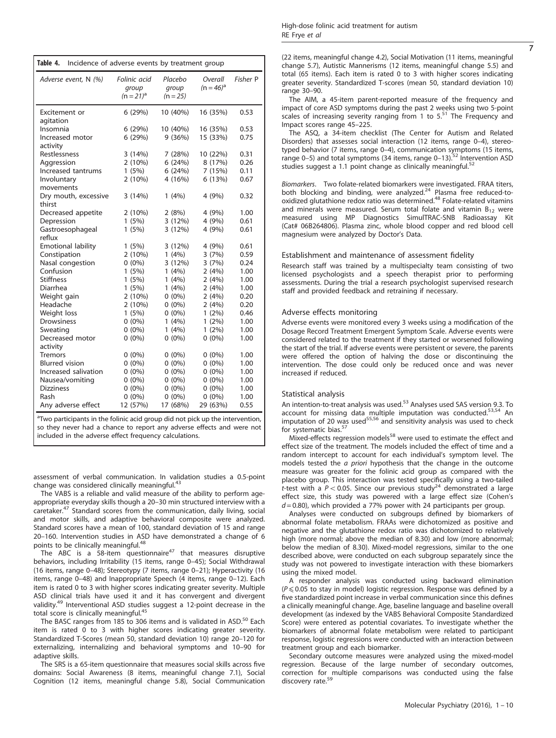| High-dose folinic acid treatment for autism |  |  |
|---------------------------------------------|--|--|
| RE Frye et al                               |  |  |

7

<span id="page-6-0"></span>

| Adverse event, N (%)           | Folinic acid<br>group<br>$(n = 21)^{a}$ | Placebo<br>group<br>$(n = 25)$ | Overall<br>$(n = 46)^{a}$ | Fisher P |
|--------------------------------|-----------------------------------------|--------------------------------|---------------------------|----------|
| Excitement or<br>agitation     | 6(29%)                                  | 10 (40%)                       | 16 (35%)                  | 0.53     |
| Insomnia                       | 6(29%)                                  | 10 (40%)                       | 16 (35%)                  | 0.53     |
| Increased motor<br>activity    | 6(29%)                                  | 9(36%)                         | 15 (33%)                  | 0.75     |
| Restlessness                   | 3(14%)                                  | 7(28%)                         | 10 (22%)                  | 0.31     |
| Aggression                     | $2(10\%)$                               | 6(24%)                         | 8 (17%)                   | 0.26     |
| Increased tantrums             | 1(5%)                                   | 6(24%)                         | 7 (15%)                   | 0.11     |
| Involuntary<br>movements       | $2(10\%)$                               | 4 (16%)                        | 6(13%)                    | 0.67     |
| Dry mouth, excessive<br>thirst | 3(14%)                                  | 1(4%)                          | 4 (9%)                    | 0.32     |
| Decreased appetite             | 2(10%)                                  | 2(8%)                          | 4 (9%)                    | 1.00     |
| Depression                     | 1(5%)                                   | 3(12%)                         | 4 (9%)                    | 0.61     |
| Gastroesophageal<br>reflux     | 1(5%)                                   | 3(12%)                         | 4 (9%)                    | 0.61     |
| <b>Emotional lability</b>      | 1(5%)                                   | 3(12%)                         | 4 (9%)                    | 0.61     |
| Constipation                   | 2(10%)                                  | 1(4%)                          | 3(7%)                     | 0.59     |
| Nasal congestion               | $0(0\%)$                                | 3(12%)                         | 3(7%)                     | 0.24     |
| Confusion                      | 1(5%)                                   | 1(4%)                          | 2(4%)                     | 1.00     |
| <b>Stiffness</b>               | 1(5%)                                   | 1(4%)                          | 2(4%)                     | 1.00     |
| Diarrhea                       | 1(5%)                                   | 1(4%)                          | 2(4%)                     | 1.00     |
| Weight gain                    | $2(10\%)$                               | $0(0\%)$                       | 2(4%)                     | 0.20     |
| Headache                       | 2(10%)                                  | $0(0\%)$                       | 2(4%)                     | 0.20     |
| Weight loss                    | 1(5%)                                   | $0(0\%)$                       | $1(2\%)$                  | 0.46     |
| Drowsiness                     | $0(0\%)$                                | 1(4%)                          | $1(2\%)$                  | 1.00     |
| Sweating                       | $0(0\%)$                                | 1(4%)                          | $1(2\%)$                  | 1.00     |
| Decreased motor                | $0(0\%)$                                | $0(0\%)$                       | $0(0\%)$                  | 1.00     |
| activity                       |                                         |                                |                           |          |
| <b>Tremors</b>                 | $0(0\%)$                                | $0(0\%)$                       | $0(0\%)$                  | 1.00     |
| <b>Blurred</b> vision          | $0(0\%)$                                | $0(0\%)$                       | $0(0\%)$                  | 1.00     |
| Increased salivation           | $0(0\%)$                                | $0(0\%)$                       | $0(0\%)$                  | 1.00     |
| Nausea/vomiting                | $0(0\%)$                                | $0(0\%)$                       | $0(0\%)$                  | 1.00     |
| <b>Dizziness</b>               | $0(0\%)$                                | $0(0\%)$                       | $0(0\%)$                  | 1.00     |
| Rash                           | $0(0\%)$                                | $0(0\%)$                       | $0(0\%)$                  | 1.00     |
| Any adverse effect             | 12 (57%)                                | 17 (68%)                       | 29 (63%)                  | 0.55     |

included in the adverse effect frequency calculations.

assessment of verbal communication. In validation studies a 0.5-point change was considered clinically meaningful.<sup>43</sup>

The VABS is a reliable and valid measure of the ability to perform ageappropriate everyday skills though a 20–30 min structured interview with a caretaker.[47](#page-9-0) Standard scores from the communication, daily living, social and motor skills, and adaptive behavioral composite were analyzed. Standard scores have a mean of 100, standard deviation of 15 and range 20–160. Intervention studies in ASD have demonstrated a change of 6 points to be clinically meaningful.<sup>[48](#page-9-0)</sup>

The ABC is a 58-item questionnaire<sup>47</sup> that measures disruptive behaviors, including Irritability (15 items, range 0–45); Social Withdrawal (16 items, range 0–48); Stereotypy (7 items, range 0–21); Hyperactivity (16 items, range 0–48) and Inappropriate Speech (4 items, range 0–12). Each item is rated 0 to 3 with higher scores indicating greater severity. Multiple ASD clinical trials have used it and it has convergent and divergent validity.<sup>49</sup> Interventional ASD studies suggest a 12-point decrease in the total score is clinically meaningful.<sup>[45](#page-9-0)</sup>

The BASC ranges from 185 to 306 items and is validated in ASD.<sup>[50](#page-9-0)</sup> Each item is rated 0 to 3 with higher scores indicating greater severity. Standardized T-Scores (mean 50, standard deviation 10) range 20–120 for externalizing, internalizing and behavioral symptoms and 10–90 for adaptive skills.

The SRS is a 65-item questionnaire that measures social skills across five domains: Social Awareness (8 items, meaningful change 7.1), Social Cognition (12 items, meaningful change 5.8), Social Communication (22 items, meaningful change 4.2), Social Motivation (11 items, meaningful change 5.7), Autistic Mannerisms (12 items, meaningful change 5.5) and total (65 items). Each item is rated 0 to 3 with higher scores indicating greater severity. Standardized T-scores (mean 50, standard deviation 10) range 30–90.

The AIM, a 45-item parent-reported measure of the frequency and impact of core ASD symptoms during the past 2 weeks using two 5-point scales of increasing severity ranging from 1 to  $5.51$  $5.51$  The Frequency and Impact scores range 45–225.

The ASQ, a 34-item checklist (The Center for Autism and Related Disorders) that assesses social interaction (12 items, range 0–4), stereotyped behavior (7 items, range 0–4), communication symptoms (15 items, range 0–5) and total symptoms (34 items, range 0–13).  $52$  Intervention ASD studies suggest a 1.1 point change as clinically meaningful.<sup>[52](#page-9-0)</sup>

Biomarkers. Two folate-related biomarkers were investigated. FRAA titers, both blocking and binding, were analyzed.<sup>24</sup> Plasma free reduced-tooxidized glutathione redox ratio was determined.[48](#page-9-0) Folate-related vitamins and minerals were measured. Serum total folate and vitamin  $B_{12}$  were measured using MP Diagnostics SimulTRAC-SNB Radioassay Kit (Cat# 06B264806). Plasma zinc, whole blood copper and red blood cell magnesium were analyzed by Doctor's Data.

#### Establishment and maintenance of assessment fidelity

Research staff was trained by a multispecialty team consisting of two licensed psychologists and a speech therapist prior to performing assessments. During the trial a research psychologist supervised research staff and provided feedback and retraining if necessary.

#### Adverse effects monitoring

Adverse events were monitored every 3 weeks using a modification of the Dosage Record Treatment Emergent Symptom Scale. Adverse events were considered related to the treatment if they started or worsened following the start of the trial. If adverse events were persistent or severe, the parents were offered the option of halving the dose or discontinuing the intervention. The dose could only be reduced once and was never increased if reduced.

#### Statistical analysis

An intention-to-treat analysis was used.<sup>[53](#page-9-0)</sup> Analyses used SAS version 9.3. To account for missing data multiple imputation was conducted.[53,54](#page-9-0) An imputation of 20 was used $55,56$  $55,56$  $55,56$  and sensitivity analysis was used to check for systematic bias. $5$ 

Mixed-effects regression models<sup>[58](#page-9-0)</sup> were used to estimate the effect and effect size of the treatment. The models included the effect of time and a random intercept to account for each individual's symptom level. The models tested the a priori hypothesis that the change in the outcome measure was greater for the folinic acid group as compared with the placebo group. This interaction was tested specifically using a two-tailed t-test with a  $P < 0.05$ . Since our previous study<sup>24</sup> demonstrated a large effect size, this study was powered with a large effect size (Cohen's  $d = 0.80$ ), which provided a 77% power with 24 participants per group.

Analyses were conducted on subgroups defined by biomarkers of abnormal folate metabolism. FRAAs were dichotomized as positive and negative and the glutathione redox ratio was dichotomized to relatively high (more normal; above the median of 8.30) and low (more abnormal; below the median of 8.30). Mixed-model regressions, similar to the one described above, were conducted on each subgroup separately since the study was not powered to investigate interaction with these biomarkers using the mixed model.

A responder analysis was conducted using backward elimination  $(P \le 0.05$  to stay in model) logistic regression. Response was defined by a five standardized point increase in verbal communication since this defines a clinically meaningful change. Age, baseline language and baseline overall development (as indexed by the VABS Behavioral Composite Standardized Score) were entered as potential covariates. To investigate whether the biomarkers of abnormal folate metabolism were related to participant response, logistic regressions were conducted with an interaction between treatment group and each biomarker.

Secondary outcome measures were analyzed using the mixed-model regression. Because of the large number of secondary outcomes, correction for multiple comparisons was conducted using the false discovery rate.<sup>59</sup>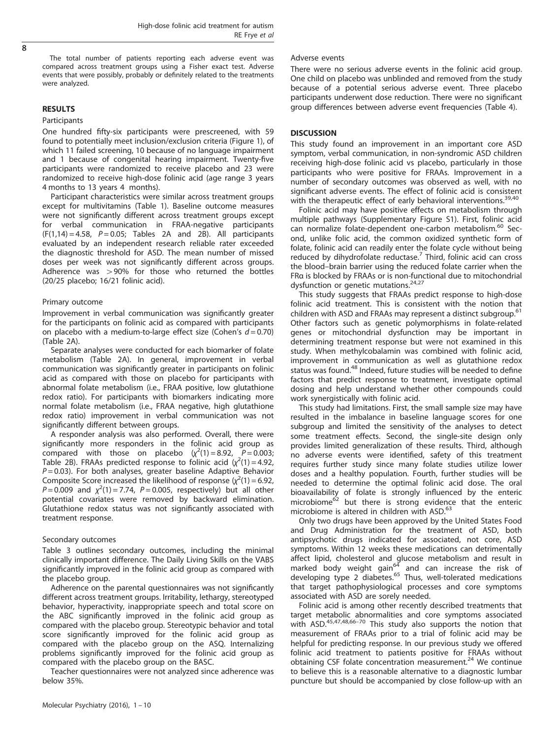$\overline{8}$ 

The total number of patients reporting each adverse event was compared across treatment groups using a Fisher exact test. Adverse events that were possibly, probably or definitely related to the treatments were analyzed.

## RESULTS

## Participants

One hundred fifty-six participants were prescreened, with 59 found to potentially meet inclusion/exclusion criteria ([Figure 1](#page-1-0)), of which 11 failed screening, 10 because of no language impairment and 1 because of congenital hearing impairment. Twenty-five participants were randomized to receive placebo and 23 were randomized to receive high-dose folinic acid (age range 3 years 4 months to 13 years 4 months).

Participant characteristics were similar across treatment groups except for multivitamins [\(Table 1](#page-2-0)). Baseline outcome measures were not significantly different across treatment groups except for verbal communication in FRAA-negative participants  $(F(1,14) = 4.58, P = 0.05;$  [Tables 2A and 2B](#page-3-0)). All participants evaluated by an independent research reliable rater exceeded the diagnostic threshold for ASD. The mean number of missed doses per week was not significantly different across groups. Adherence was  $>90\%$  for those who returned the bottles (20/25 placebo; 16/21 folinic acid).

## Primary outcome

Improvement in verbal communication was significantly greater for the participants on folinic acid as compared with participants on placebo with a medium-to-large effect size (Cohen's  $d = 0.70$ ) ([Table 2A](#page-3-0)).

Separate analyses were conducted for each biomarker of folate metabolism [\(Table 2A](#page-3-0)). In general, improvement in verbal communication was significantly greater in participants on folinic acid as compared with those on placebo for participants with abnormal folate metabolism (i.e., FRAA positive, low glutathione redox ratio). For participants with biomarkers indicating more normal folate metabolism (i.e., FRAA negative, high glutathione redox ratio) improvement in verbal communication was not significantly different between groups.

A responder analysis was also performed. Overall, there were significantly more responders in the folinic acid group as compared with those on placebo  $(x^2(1) = 8.92, P = 0.003;$ [Table 2B\)](#page-4-0). FRAAs predicted response to folinic acid  $(\chi^2(1) = 4.92)$  $P = 0.03$ ). For both analyses, greater baseline Adaptive Behavior Composite Score increased the likelihood of response  $(\chi^2(1) = 6.92)$  $P = 0.009$  and  $\chi^2(1) = 7.74$ ,  $P = 0.005$ , respectively) but all other potential covariates were removed by backward elimination. Glutathione redox status was not significantly associated with treatment response.

## Secondary outcomes

[Table 3](#page-5-0) outlines secondary outcomes, including the minimal clinically important difference. The Daily Living Skills on the VABS significantly improved in the folinic acid group as compared with the placebo group.

Adherence on the parental questionnaires was not significantly different across treatment groups. Irritability, lethargy, stereotyped behavior, hyperactivity, inappropriate speech and total score on the ABC significantly improved in the folinic acid group as compared with the placebo group. Stereotypic behavior and total score significantly improved for the folinic acid group as compared with the placebo group on the ASQ. Internalizing problems significantly improved for the folinic acid group as compared with the placebo group on the BASC.

Teacher questionnaires were not analyzed since adherence was below 35%.

There were no serious adverse events in the folinic acid group. One child on placebo was unblinded and removed from the study because of a potential serious adverse event. Three placebo participants underwent dose reduction. There were no significant group differences between adverse event frequencies ([Table 4\)](#page-6-0).

## **DISCUSSION**

This study found an improvement in an important core ASD symptom, verbal communication, in non-syndromic ASD children receiving high-dose folinic acid vs placebo, particularly in those participants who were positive for FRAAs. Improvement in a number of secondary outcomes was observed as well, with no significant adverse events. The effect of folinic acid is consistent with the therapeutic effect of early behavioral interventions.<sup>[39,40](#page-9-0)</sup>

Folinic acid may have positive effects on metabolism through multiple pathways (Supplementary Figure S1). First, folinic acid can normalize folate-dependent one-carbon metabolism.<sup>[60](#page-9-0)</sup> Second, unlike folic acid, the common oxidized synthetic form of folate, folinic acid can readily enter the folate cycle without being reduced by dihydrofolate reductase. Third, folinic acid can cross the blood–brain barrier using the reduced folate carrier when the FRα is blocked by FRAAs or is non-functional due to mitochondrial dysfunction or genetic mutations. $24,27$  $24,27$  $24,27$ 

This study suggests that FRAAs predict response to high-dose folinic acid treatment. This is consistent with the notion that children with ASD and FRAAs may represent a distinct subgroup.<sup>[61](#page-9-0)</sup> Other factors such as genetic polymorphisms in folate-related genes or mitochondrial dysfunction may be important in determining treatment response but were not examined in this study. When methylcobalamin was combined with folinic acid, improvement in communication as well as glutathione redox status was found.<sup>[48](#page-9-0)</sup> Indeed, future studies will be needed to define factors that predict response to treatment, investigate optimal dosing and help understand whether other compounds could work synergistically with folinic acid.

This study had limitations. First, the small sample size may have resulted in the imbalance in baseline language scores for one subgroup and limited the sensitivity of the analyses to detect some treatment effects. Second, the single-site design only provides limited generalization of these results. Third, although no adverse events were identified, safety of this treatment requires further study since many folate studies utilize lower doses and a healthy population. Fourth, further studies will be needed to determine the optimal folinic acid dose. The oral bioavailability of folate is strongly influenced by the enteric microbiome<sup>[62](#page-9-0)</sup> but there is strong evidence that the enteric microbiome is altered in children with ASD.<sup>[63](#page-9-0)</sup>

Only two drugs have been approved by the United States Food and Drug Administration for the treatment of ASD, both antipsychotic drugs indicated for associated, not core, ASD symptoms. Within 12 weeks these medications can detrimentally affect lipid, cholesterol and glucose metabolism and result in marked body weight gain<sup>64</sup> and can increase the risk of developing type 2 diabetes.<sup>[65](#page-9-0)</sup> Thus, well-tolerated medications that target pathophysiological processes and core symptoms associated with ASD are sorely needed.

Folinic acid is among other recently described treatments that target metabolic abnormalities and core symptoms associated with ASD.<sup>[45,47,48](#page-9-0),66–[70](#page-9-0)</sup> This study also supports the notion that measurement of FRAAs prior to a trial of folinic acid may be helpful for predicting response. In our previous study we offered folinic acid treatment to patients positive for FRAAs without obtaining CSF folate concentration measurement. $^{24}$  $^{24}$  $^{24}$  We continue to believe this is a reasonable alternative to a diagnostic lumbar puncture but should be accompanied by close follow-up with an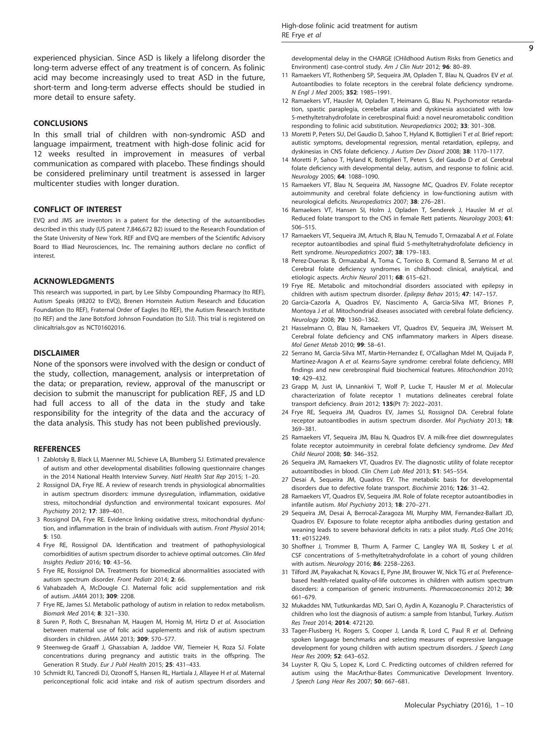<span id="page-8-0"></span>experienced physician. Since ASD is likely a lifelong disorder the long-term adverse effect of any treatment is of concern. As folinic acid may become increasingly used to treat ASD in the future, short-term and long-term adverse effects should be studied in more detail to ensure safety.

#### **CONCLUSIONS**

In this small trial of children with non-syndromic ASD and language impairment, treatment with high-dose folinic acid for 12 weeks resulted in improvement in measures of verbal communication as compared with placebo. These findings should be considered preliminary until treatment is assessed in larger multicenter studies with longer duration.

## CONFLICT OF INTEREST

EVQ and JMS are inventors in a patent for the detecting of the autoantibodies described in this study (US patent 7,846,672 B2) issued to the Research Foundation of the State University of New York. REF and EVQ are members of the Scientific Advisory Board to Illiad Neurosciences, Inc. The remaining authors declare no conflict of interest.

## ACKNOWLEDGMENTS

This research was supported, in part, by Lee Silsby Compounding Pharmacy (to REF), Autism Speaks (#8202 to EVQ), Brenen Hornstein Autism Research and Education Foundation (to REF), Fraternal Order of Eagles (to REF), the Autism Research Institute (to REF) and the Jane Botsford Johnson Foundation (to SJJ). This trial is registered on clinicaltrials.gov as NCT01602016.

#### DISCLAIMER

None of the sponsors were involved with the design or conduct of the study, collection, management, analysis or interpretation of the data; or preparation, review, approval of the manuscript or decision to submit the manuscript for publication REF, JS and LD had full access to all of the data in the study and take responsibility for the integrity of the data and the accuracy of the data analysis. This study has not been published previously.

### REFERENCES

- 1 Zablotsky B, Black LI, Maenner MJ, Schieve LA, Blumberg SJ. Estimated prevalence of autism and other developmental disabilities following questionnaire changes in the 2014 National Health Interview Survey. Natl Health Stat Rep 2015; 1–20.
- 2 Rossignol DA, Frye RE. A review of research trends in physiological abnormalities in autism spectrum disorders: immune dysregulation, inflammation, oxidative stress, mitochondrial dysfunction and environmental toxicant exposures. Mol Psychiatry 2012; 17: 389–401.
- 3 Rossignol DA, Frye RE. Evidence linking oxidative stress, mitochondrial dysfunction, and inflammation in the brain of individuals with autism. Front Physiol 2014; 5: 150.
- 4 Frye RE, Rossignol DA. Identification and treatment of pathophysiological comorbidities of autism spectrum disorder to achieve optimal outcomes. Clin Med Insights Pediatr 2016; 10: 43–56.
- 5 Frye RE, Rossignol DA. Treatments for biomedical abnormalities associated with autism spectrum disorder. Front Pediatr 2014; 2: 66.
- 6 Vahabzadeh A, McDougle CJ. Maternal folic acid supplementation and risk of autism. JAMA 2013; 309: 2208.
- 7 Frye RE, James SJ. Metabolic pathology of autism in relation to redox metabolism. Biomark Med 2014; 8: 321–330.
- 8 Suren P, Roth C, Bresnahan M, Haugen M, Hornig M, Hirtz D et al. Association between maternal use of folic acid supplements and risk of autism spectrum disorders in children. JAMA 2013; 309: 570–577.
- 9 Steenweg-de Graaff J, Ghassabian A, Jaddoe VW, Tiemeier H, Roza SJ. Folate concentrations during pregnancy and autistic traits in the offspring. The Generation R Study. Eur J Publ Health 2015; 25: 431–433.
- 10 Schmidt RJ, Tancredi DJ, Ozonoff S, Hansen RL, Hartiala J, Allayee H et al. Maternal periconceptional folic acid intake and risk of autism spectrum disorders and

developmental delay in the CHARGE (CHildhood Autism Risks from Genetics and Environment) case-control study. Am J Clin Nutr 2012; 96: 80–89.

- 11 Ramaekers VT, Rothenberg SP, Sequeira JM, Opladen T, Blau N, Quadros EV et al. Autoantibodies to folate receptors in the cerebral folate deficiency syndrome. N Engl J Med 2005; 352: 1985–1991.
- 12 Ramaekers VT, Hausler M, Opladen T, Heimann G, Blau N. Psychomotor retardation, spastic paraplegia, cerebellar ataxia and dyskinesia associated with low 5-methyltetrahydrofolate in cerebrospinal fluid: a novel neurometabolic condition responding to folinic acid substitution. Neuropediatrics 2002; 33: 301–308.
- 13 Moretti P, Peters SU, Del Gaudio D, Sahoo T, Hyland K, Bottiglieri T et al. Brief report: autistic symptoms, developmental regression, mental retardation, epilepsy, and dyskinesias in CNS folate deficiency. J Autism Dev Disord 2008; 38: 1170–1177.
- 14 Moretti P, Sahoo T, Hyland K, Bottiglieri T, Peters S, del Gaudio D et al. Cerebral folate deficiency with developmental delay, autism, and response to folinic acid. Neurology 2005; 64: 1088–1090.
- 15 Ramaekers VT, Blau N, Sequeira JM, Nassogne MC, Quadros EV. Folate receptor autoimmunity and cerebral folate deficiency in low-functioning autism with neurological deficits. Neuropediatrics 2007; 38: 276–281.
- 16 Ramaekers VT, Hansen SI, Holm J, Opladen T, Senderek J, Hausler M et al. Reduced folate transport to the CNS in female Rett patients. Neurology 2003; 61: 506–515.
- 17 Ramaekers VT, Sequeira JM, Artuch R, Blau N, Temudo T, Ormazabal A et al. Folate receptor autoantibodies and spinal fluid 5-methyltetrahydrofolate deficiency in Rett syndrome. Neuropediatrics 2007; 38: 179–183.
- 18 Perez-Duenas B, Ormazabal A, Toma C, Torrico B, Cormand B, Serrano M et al. Cerebral folate deficiency syndromes in childhood: clinical, analytical, and etiologic aspects. Archiv Neurol 2011; 68: 615–621.
- 19 Frye RE. Metabolic and mitochondrial disorders associated with epilepsy in children with autism spectrum disorder. Epilepsy Behav 2015; 47: 147–157.
- 20 Garcia-Cazorla A, Quadros EV, Nascimento A, Garcia-Silva MT, Briones P, Montoya J et al. Mitochondrial diseases associated with cerebral folate deficiency. Neurology 2008; 70: 1360–1362.
- 21 Hasselmann O, Blau N, Ramaekers VT, Quadros EV, Sequeira JM, Weissert M. Cerebral folate deficiency and CNS inflammatory markers in Alpers disease. Mol Genet Metab 2010; 99: 58–61.
- 22 Serrano M, Garcia-Silva MT, Martin-Hernandez E, O'Callaghan Mdel M, Quijada P, Martinez-Aragon A et al. Kearns-Sayre syndrome: cerebral folate deficiency, MRI findings and new cerebrospinal fluid biochemical features. Mitochondrion 2010; 10: 429–432.
- 23 Grapp M, Just IA, Linnankivi T, Wolf P, Lucke T, Hausler M et al. Molecular characterization of folate receptor 1 mutations delineates cerebral folate transport deficiency. Brain 2012; 135(Pt 7): 2022–2031.
- 24 Frye RE, Sequeira JM, Quadros EV, James SJ, Rossignol DA. Cerebral folate receptor autoantibodies in autism spectrum disorder. Mol Psychiatry 2013; 18: 369–381.
- 25 Ramaekers VT, Sequeira JM, Blau N, Quadros EV. A milk-free diet downregulates folate receptor autoimmunity in cerebral folate deficiency syndrome. Dev Med Child Neurol 2008; 50: 346–352.
- 26 Sequeira JM, Ramaekers VT, Quadros EV. The diagnostic utility of folate receptor autoantibodies in blood. Clin Chem Lab Med 2013; 51: 545-554.
- 27 Desai A, Sequeira JM, Quadros EV. The metabolic basis for developmental disorders due to defective folate transport. Biochimie 2016; 126: 31–42.
- 28 Ramaekers VT, Quadros EV, Sequeira JM. Role of folate receptor autoantibodies in infantile autism. Mol Psychiatry 2013; 18: 270–271.
- 29 Sequeira JM, Desai A, Berrocal-Zaragoza MI, Murphy MM, Fernandez-Ballart JD, Quadros EV. Exposure to folate receptor alpha antibodies during gestation and weaning leads to severe behavioral deficits in rats: a pilot study. PLoS One 2016; 11: e0152249.
- 30 Shoffner J, Trommer B, Thurm A, Farmer C, Langley WA III, Soskey L et al. CSF concentrations of 5-methyltetrahydrofolate in a cohort of young children with autism. Neurology 2016; 86: 2258–2263.
- 31 Tilford JM, Payakachat N, Kovacs E, Pyne JM, Brouwer W, Nick TG et al. Preferencebased health-related quality-of-life outcomes in children with autism spectrum disorders: a comparison of generic instruments. Pharmacoeconomics 2012; 30: 661–679.
- 32 Mukaddes NM, Tutkunkardas MD, Sari O, Aydin A, Kozanoglu P. Characteristics of children who lost the diagnosis of autism: a sample from Istanbul, Turkey. Autism Res Treat 2014; 2014: 472120.
- 33 Tager-Flusberg H, Rogers S, Cooper J, Landa R, Lord C, Paul R et al. Defining spoken language benchmarks and selecting measures of expressive language development for young children with autism spectrum disorders. *J Speech Lang* Hear Res 2009; 52: 643–652.
- 34 Luyster R, Qiu S, Lopez K, Lord C. Predicting outcomes of children referred for autism using the MacArthur-Bates Communicative Development Inventory. J Speech Lang Hear Res 2007; 50: 667–681.